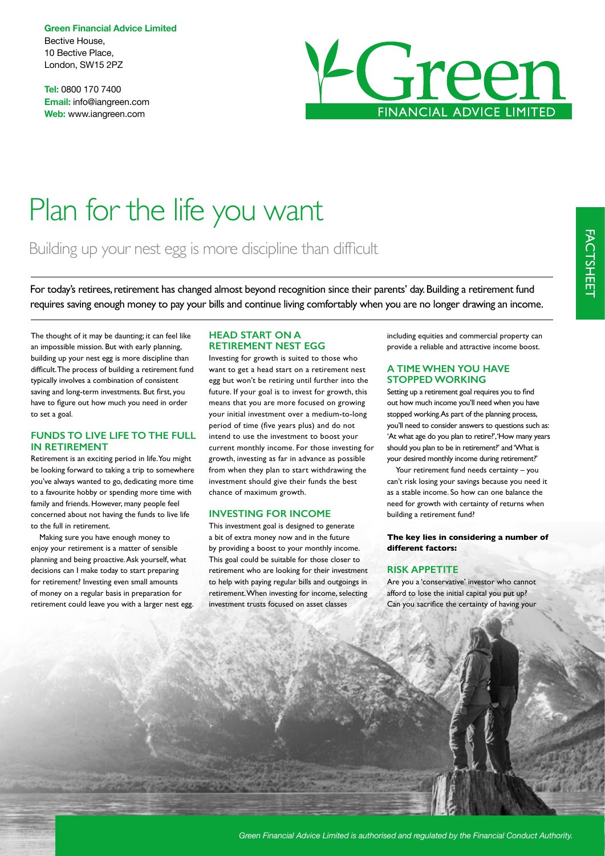**Green Financial Advice Limited** Bective House, 10 Bective Place, London, SW15 2PZ

**Tel:** 0800 170 7400 **Email:** info@iangreen.com **Web:** www.iangreen.com



# Plan for the life you want

## Building up your nest egg is more discipline than difficult

For today's retirees, retirement has changed almost beyond recognition since their parents' day. Building a retirement fund requires saving enough money to pay your bills and continue living comfortably when you are no longer drawing an income.

The thought of it may be daunting; it can feel like an impossible mission. But with early planning, building up your nest egg is more discipline than difficult. The process of building a retirement fund typically involves a combination of consistent saving and long-term investments. But frst, you have to fgure out how much you need in order to set a goal.

#### **FUNDS TO LIVE LIFE TO THE FULL IN RETIREMENT**

Retirement is an exciting period in life. You might be looking forward to taking a trip to somewhere you've always wanted to go, dedicating more time to a favourite hobby or spending more time with family and friends. However, many people feel concerned about not having the funds to live life to the full in retirement.

Making sure you have enough money to enjoy your retirement is a matter of sensible planning and being proactive. Ask yourself, what decisions can I make today to start preparing for retirement? Investing even small amounts of money on a regular basis in preparation for retirement could leave you with a larger nest egg.

#### **HEAD START ON A RETIREMENT NEST EGG**

Investing for growth is suited to those who want to get a head start on a retirement nest egg but won't be retiring until further into the future. If your goal is to invest for growth, this means that you are more focused on growing your initial investment over a medium-to-long period of time (fve years plus) and do not intend to use the investment to boost your current monthly income. For those investing for growth, investing as far in advance as possible from when they plan to start withdrawing the investment should give their funds the best chance of maximum growth.

#### **INVESTING FOR INCOME**

This investment goal is designed to generate a bit of extra money now and in the future by providing a boost to your monthly income. This goal could be suitable for those closer to retirement who are looking for their investment to help with paying regular bills and outgoings in retirement. When investing for income, selecting investment trusts focused on asset classes

including equities and commercial property can provide a reliable and attractive income boost.

#### **A TIME WHEN YOU HAVE STOPPED WORKING**

Setting up a retirement goal requires you to find out how much income you'll need when you have stopped working. As part of the planning process, you'll need to consider answers to questions such as: 'At what age do you plan to retire?', 'How many years should you plan to be in retirement?' and 'What is your desired monthly income during retirement?'

Your retirement fund needs certainty – you can't risk losing your savings because you need it as a stable income. So how can one balance the need for growth with certainty of returns when building a retirement fund?

**The key lies in considering a number of different factors:** 

#### **RISK APPETITE**

Are you a 'conservative' investor who cannot afford to lose the initial capital you put up? Can you sacrifce the certainty of having your